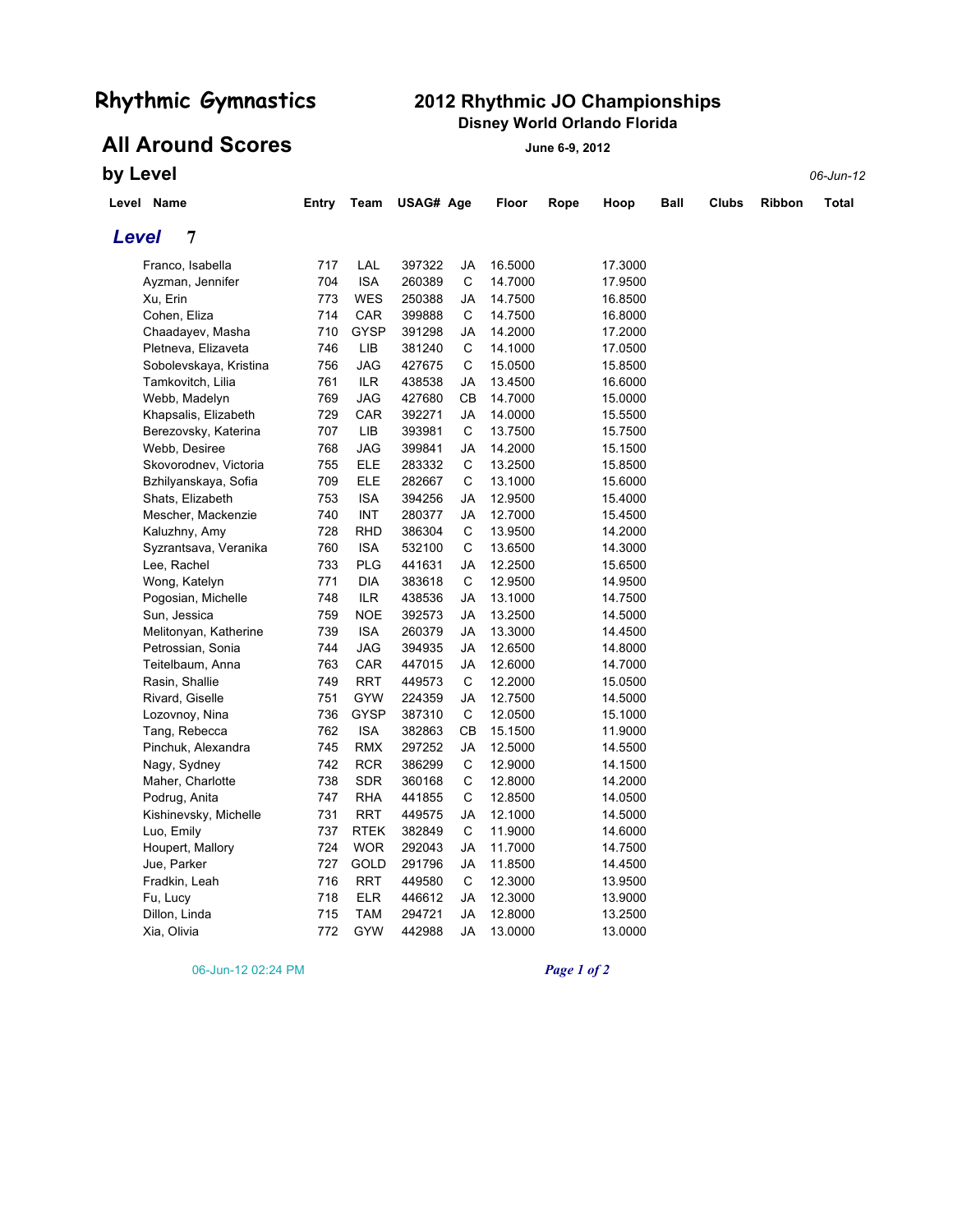### **Rhythmic Gymnastics 2012 Rhythmic JO Championships Disney World Orlando Florida**

# **All Around Scores June 6-9, 2012**

**by Level** *06-Jun-12*

|       | Level Name             | Entry | Team        | USAG# Age |             | Floor   | Rope | Hoop    | Ball | Clubs | <b>Ribbon</b> | Total |
|-------|------------------------|-------|-------------|-----------|-------------|---------|------|---------|------|-------|---------------|-------|
| Level | 7                      |       |             |           |             |         |      |         |      |       |               |       |
|       | Franco, Isabella       | 717   | LAL         | 397322    | JA          | 16.5000 |      | 17.3000 |      |       |               |       |
|       | Ayzman, Jennifer       | 704   | <b>ISA</b>  | 260389    | С           | 14.7000 |      | 17.9500 |      |       |               |       |
|       | Xu, Erin               | 773   | <b>WES</b>  | 250388    | JA          | 14.7500 |      | 16.8500 |      |       |               |       |
|       | Cohen, Eliza           | 714   | CAR         | 399888    | C           | 14.7500 |      | 16.8000 |      |       |               |       |
|       | Chaadayev, Masha       | 710   | <b>GYSP</b> | 391298    | JA          | 14.2000 |      | 17.2000 |      |       |               |       |
|       | Pletneva, Elizaveta    | 746   | LIB         | 381240    | С           | 14.1000 |      | 17.0500 |      |       |               |       |
|       | Sobolevskaya, Kristina | 756   | JAG         | 427675    | С           | 15.0500 |      | 15.8500 |      |       |               |       |
|       | Tamkovitch, Lilia      | 761   | <b>ILR</b>  | 438538    | JA          | 13.4500 |      | 16.6000 |      |       |               |       |
|       | Webb, Madelyn          | 769   | <b>JAG</b>  | 427680    | СB          | 14.7000 |      | 15.0000 |      |       |               |       |
|       | Khapsalis, Elizabeth   | 729   | CAR         | 392271    | JA          | 14.0000 |      | 15.5500 |      |       |               |       |
|       | Berezovsky, Katerina   | 707   | LIB         | 393981    | $\mathsf C$ | 13.7500 |      | 15.7500 |      |       |               |       |
|       | Webb, Desiree          | 768   | JAG         | 399841    | JA          | 14.2000 |      | 15.1500 |      |       |               |       |
|       | Skovorodnev, Victoria  | 755   | ELE         | 283332    | С           | 13.2500 |      | 15.8500 |      |       |               |       |
|       | Bzhilyanskaya, Sofia   | 709   | ELE         | 282667    | С           | 13.1000 |      | 15.6000 |      |       |               |       |
|       | Shats, Elizabeth       | 753   | <b>ISA</b>  | 394256    | JA          | 12.9500 |      | 15.4000 |      |       |               |       |
|       | Mescher, Mackenzie     | 740   | <b>INT</b>  | 280377    | JA          | 12.7000 |      | 15.4500 |      |       |               |       |
|       | Kaluzhny, Amy          | 728   | <b>RHD</b>  | 386304    | C           | 13.9500 |      | 14.2000 |      |       |               |       |
|       | Syzrantsava, Veranika  | 760   | <b>ISA</b>  | 532100    | С           | 13.6500 |      | 14.3000 |      |       |               |       |
|       | Lee, Rachel            | 733   | <b>PLG</b>  | 441631    | JA          | 12.2500 |      | 15.6500 |      |       |               |       |
|       | Wong, Katelyn          | 771   | DIA         | 383618    | С           | 12.9500 |      | 14.9500 |      |       |               |       |
|       | Pogosian, Michelle     | 748   | ILR         | 438536    | JA          | 13.1000 |      | 14.7500 |      |       |               |       |
|       | Sun, Jessica           | 759   | <b>NOE</b>  | 392573    | JA          | 13.2500 |      | 14.5000 |      |       |               |       |
|       | Melitonyan, Katherine  | 739   | <b>ISA</b>  | 260379    | JA          | 13.3000 |      | 14.4500 |      |       |               |       |
|       | Petrossian, Sonia      | 744   | JAG         | 394935    | JA          | 12.6500 |      | 14.8000 |      |       |               |       |
|       | Teitelbaum, Anna       | 763   | CAR         | 447015    | JA          | 12.6000 |      | 14.7000 |      |       |               |       |
|       | Rasin, Shallie         | 749   | <b>RRT</b>  | 449573    | C           | 12.2000 |      | 15.0500 |      |       |               |       |
|       | Rivard, Giselle        | 751   | <b>GYW</b>  | 224359    | JA          | 12.7500 |      | 14.5000 |      |       |               |       |
|       | Lozovnoy, Nina         | 736   | <b>GYSP</b> | 387310    | C           | 12.0500 |      | 15.1000 |      |       |               |       |
|       | Tang, Rebecca          | 762   | <b>ISA</b>  | 382863    | CВ          | 15.1500 |      | 11.9000 |      |       |               |       |
|       | Pinchuk, Alexandra     | 745   | <b>RMX</b>  | 297252    | JA          | 12.5000 |      | 14.5500 |      |       |               |       |
|       | Nagy, Sydney           | 742   | <b>RCR</b>  | 386299    | С           | 12.9000 |      | 14.1500 |      |       |               |       |
|       | Maher, Charlotte       | 738   | <b>SDR</b>  | 360168    | С           | 12.8000 |      | 14.2000 |      |       |               |       |
|       | Podrug, Anita          | 747   | <b>RHA</b>  | 441855    | С           | 12.8500 |      | 14.0500 |      |       |               |       |
|       | Kishinevsky, Michelle  | 731   | <b>RRT</b>  | 449575    | JA          | 12.1000 |      | 14.5000 |      |       |               |       |
|       | Luo, Emily             | 737   | <b>RTEK</b> | 382849    | C           | 11.9000 |      | 14.6000 |      |       |               |       |
|       | Houpert, Mallory       | 724   | <b>WOR</b>  | 292043    | JA          | 11.7000 |      | 14.7500 |      |       |               |       |
|       | Jue, Parker            | 727   | GOLD        | 291796    | JA          | 11.8500 |      | 14.4500 |      |       |               |       |
|       | Fradkin, Leah          | 716   | <b>RRT</b>  | 449580    | С           | 12.3000 |      | 13.9500 |      |       |               |       |
|       | Fu, Lucy               | 718   | <b>ELR</b>  | 446612    | JA          | 12.3000 |      | 13.9000 |      |       |               |       |
|       | Dillon, Linda          | 715   | <b>TAM</b>  | 294721    | JA          | 12.8000 |      | 13.2500 |      |       |               |       |
|       | Xia, Olivia            | 772   | <b>GYW</b>  | 442988    | JA          | 13.0000 |      | 13.0000 |      |       |               |       |

06-Jun-12 02:24 PM *Page 1 of 2*